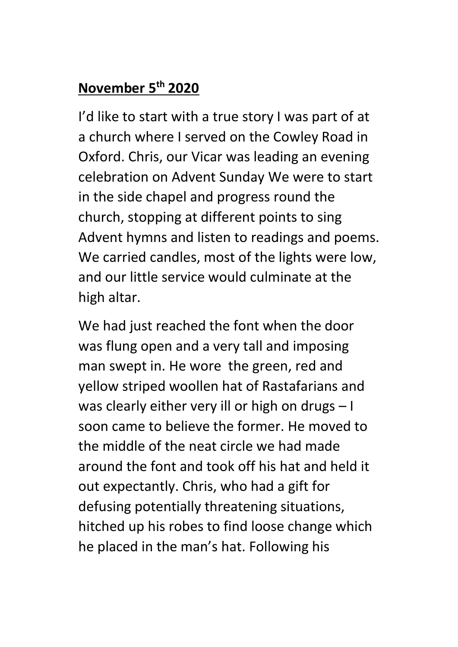# **November 5th 2020**

I'd like to start with a true story I was part of at a church where I served on the Cowley Road in Oxford. Chris, our Vicar was leading an evening celebration on Advent Sunday We were to start in the side chapel and progress round the church, stopping at different points to sing Advent hymns and listen to readings and poems. We carried candles, most of the lights were low, and our little service would culminate at the high altar.

We had just reached the font when the door was flung open and a very tall and imposing man swept in. He wore the green, red and yellow striped woollen hat of Rastafarians and was clearly either very ill or high on drugs – I soon came to believe the former. He moved to the middle of the neat circle we had made around the font and took off his hat and held it out expectantly. Chris, who had a gift for defusing potentially threatening situations, hitched up his robes to find loose change which he placed in the man's hat. Following his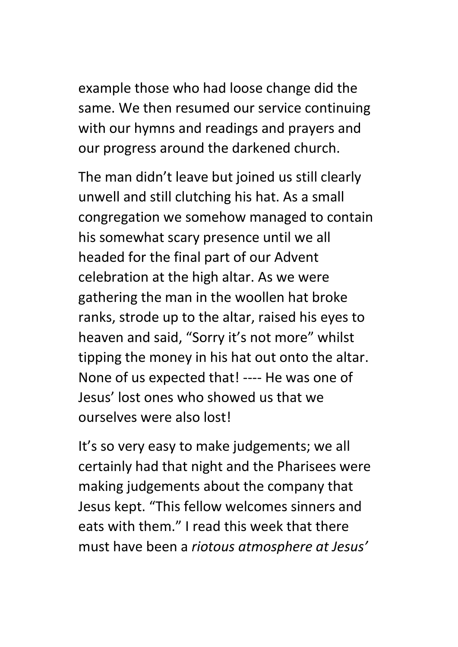example those who had loose change did the same. We then resumed our service continuing with our hymns and readings and prayers and our progress around the darkened church.

The man didn't leave but joined us still clearly unwell and still clutching his hat. As a small congregation we somehow managed to contain his somewhat scary presence until we all headed for the final part of our Advent celebration at the high altar. As we were gathering the man in the woollen hat broke ranks, strode up to the altar, raised his eyes to heaven and said, "Sorry it's not more" whilst tipping the money in his hat out onto the altar. None of us expected that! ---- He was one of Jesus' lost ones who showed us that we ourselves were also lost!

It's so very easy to make judgements; we all certainly had that night and the Pharisees were making judgements about the company that Jesus kept. "This fellow welcomes sinners and eats with them." I read this week that there must have been a *riotous atmosphere at Jesus'*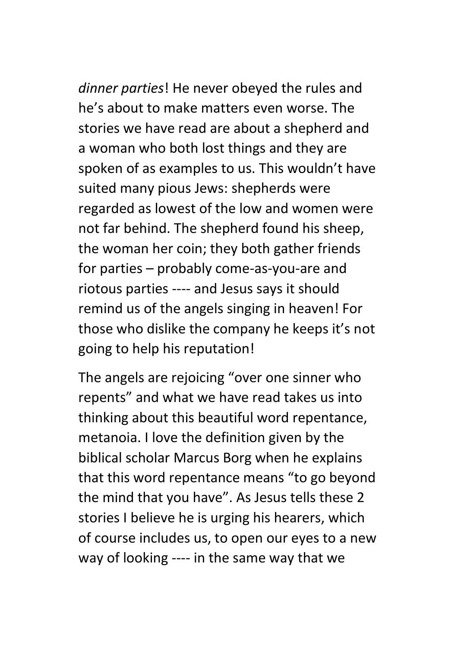*dinner parties*! He never obeyed the rules and he's about to make matters even worse. The stories we have read are about a shepherd and a woman who both lost things and they are spoken of as examples to us. This wouldn't have suited many pious Jews: shepherds were regarded as lowest of the low and women were not far behind. The shepherd found his sheep, the woman her coin; they both gather friends for parties – probably come-as-you-are and riotous parties ---- and Jesus says it should remind us of the angels singing in heaven! For those who dislike the company he keeps it's not going to help his reputation!

The angels are rejoicing "over one sinner who repents" and what we have read takes us into thinking about this beautiful word repentance, metanoia. I love the definition given by the biblical scholar Marcus Borg when he explains that this word repentance means "to go beyond the mind that you have". As Jesus tells these 2 stories I believe he is urging his hearers, which of course includes us, to open our eyes to a new way of looking ---- in the same way that we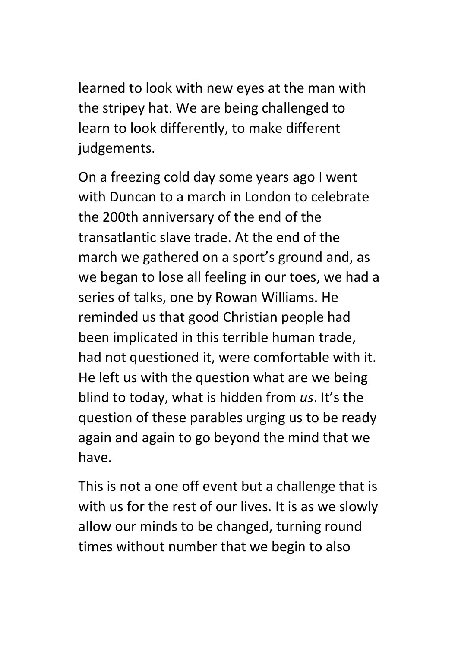learned to look with new eyes at the man with the stripey hat. We are being challenged to learn to look differently, to make different judgements.

On a freezing cold day some years ago I went with Duncan to a march in London to celebrate the 200th anniversary of the end of the transatlantic slave trade. At the end of the march we gathered on a sport's ground and, as we began to lose all feeling in our toes, we had a series of talks, one by Rowan Williams. He reminded us that good Christian people had been implicated in this terrible human trade, had not questioned it, were comfortable with it. He left us with the question what are we being blind to today, what is hidden from *us*. It's the question of these parables urging us to be ready again and again to go beyond the mind that we have.

This is not a one off event but a challenge that is with us for the rest of our lives. It is as we slowly allow our minds to be changed, turning round times without number that we begin to also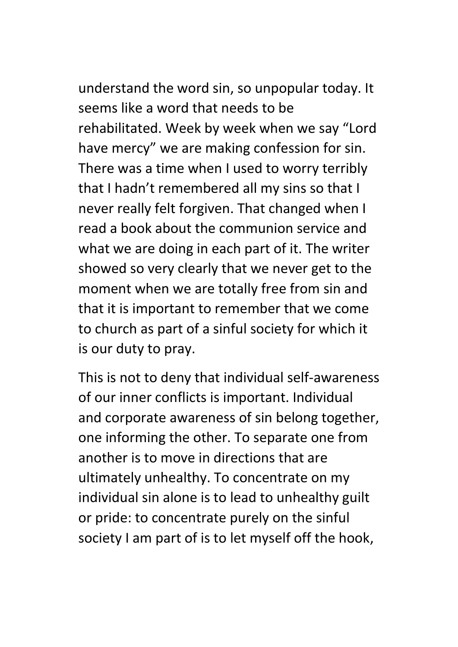understand the word sin, so unpopular today. It seems like a word that needs to be rehabilitated. Week by week when we say "Lord have mercy" we are making confession for sin. There was a time when I used to worry terribly that I hadn't remembered all my sins so that I never really felt forgiven. That changed when I read a book about the communion service and what we are doing in each part of it. The writer showed so very clearly that we never get to the moment when we are totally free from sin and that it is important to remember that we come to church as part of a sinful society for which it is our duty to pray.

This is not to deny that individual self-awareness of our inner conflicts is important. Individual and corporate awareness of sin belong together, one informing the other. To separate one from another is to move in directions that are ultimately unhealthy. To concentrate on my individual sin alone is to lead to unhealthy guilt or pride: to concentrate purely on the sinful society I am part of is to let myself off the hook,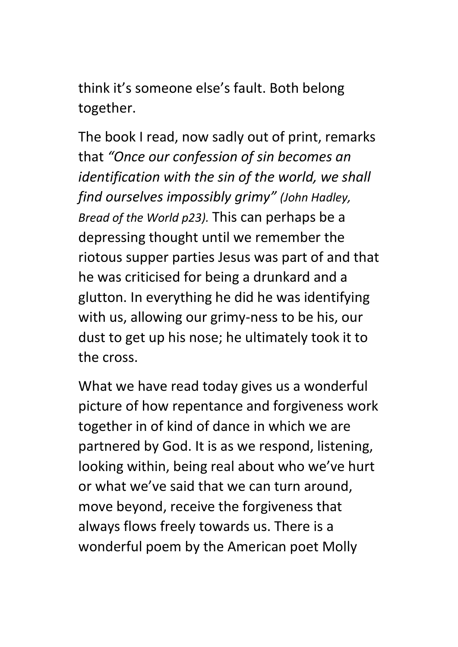think it's someone else's fault. Both belong together.

The book I read, now sadly out of print, remarks that *"Once our confession of sin becomes an identification with the sin of the world, we shall find ourselves impossibly grimy" (John Hadley, Bread of the World p23).* This can perhaps be a depressing thought until we remember the riotous supper parties Jesus was part of and that he was criticised for being a drunkard and a glutton. In everything he did he was identifying with us, allowing our grimy-ness to be his, our dust to get up his nose; he ultimately took it to the cross.

What we have read today gives us a wonderful picture of how repentance and forgiveness work together in of kind of dance in which we are partnered by God. It is as we respond, listening, looking within, being real about who we've hurt or what we've said that we can turn around, move beyond, receive the forgiveness that always flows freely towards us. There is a wonderful poem by the American poet Molly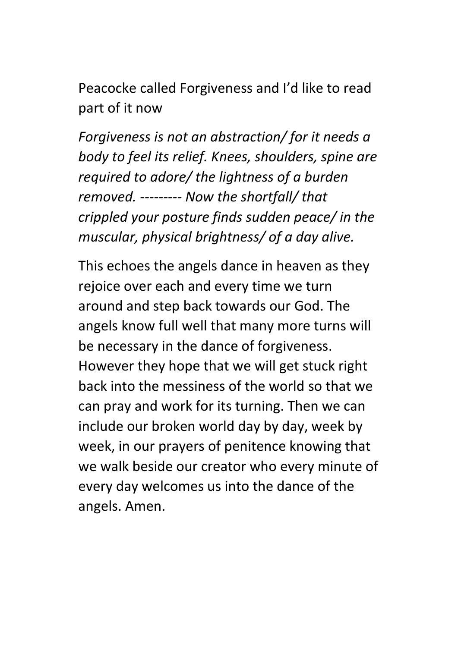Peacocke called Forgiveness and I'd like to read part of it now

*Forgiveness is not an abstraction/ for it needs a body to feel its relief. Knees, shoulders, spine are required to adore/ the lightness of a burden removed. --------- Now the shortfall/ that crippled your posture finds sudden peace/ in the muscular, physical brightness/ of a day alive.*

This echoes the angels dance in heaven as they rejoice over each and every time we turn around and step back towards our God. The angels know full well that many more turns will be necessary in the dance of forgiveness. However they hope that we will get stuck right back into the messiness of the world so that we can pray and work for its turning. Then we can include our broken world day by day, week by week, in our prayers of penitence knowing that we walk beside our creator who every minute of every day welcomes us into the dance of the angels. Amen.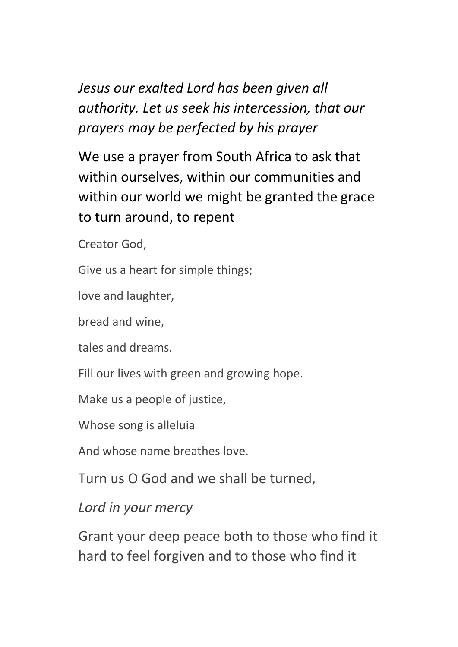*Jesus our exalted Lord has been given all authority. Let us seek his intercession, that our prayers may be perfected by his prayer*

We use a prayer from South Africa to ask that within ourselves, within our communities and within our world we might be granted the grace to turn around, to repent

Creator God,

Give us a heart for simple things;

love and laughter,

bread and wine,

tales and dreams.

Fill our lives with green and growing hope.

Make us a people of justice,

Whose song is alleluia

And whose name breathes love.

Turn us O God and we shall be turned,

*Lord in your mercy*

Grant your deep peace both to those who find it hard to feel forgiven and to those who find it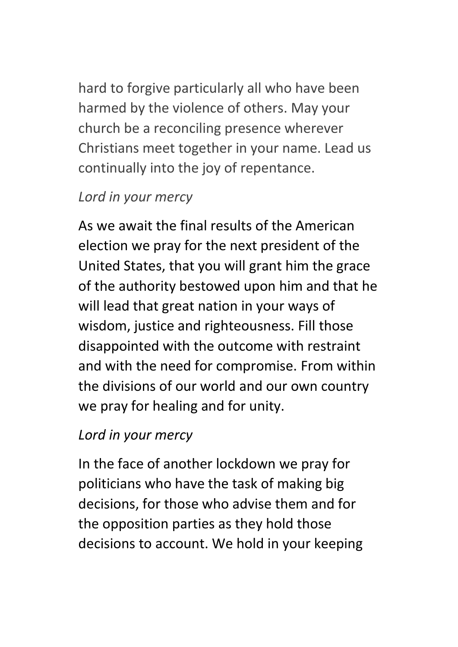hard to forgive particularly all who have been harmed by the violence of others. May your church be a reconciling presence wherever Christians meet together in your name. Lead us continually into the joy of repentance.

## *Lord in your mercy*

As we await the final results of the American election we pray for the next president of the United States, that you will grant him the grace of the authority bestowed upon him and that he will lead that great nation in your ways of wisdom, justice and righteousness. Fill those disappointed with the outcome with restraint and with the need for compromise. From within the divisions of our world and our own country we pray for healing and for unity.

# *Lord in your mercy*

In the face of another lockdown we pray for politicians who have the task of making big decisions, for those who advise them and for the opposition parties as they hold those decisions to account. We hold in your keeping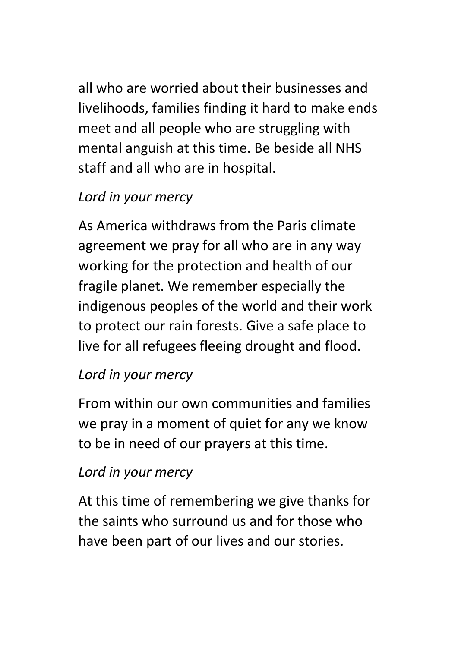all who are worried about their businesses and livelihoods, families finding it hard to make ends meet and all people who are struggling with mental anguish at this time. Be beside all NHS staff and all who are in hospital.

# *Lord in your mercy*

As America withdraws from the Paris climate agreement we pray for all who are in any way working for the protection and health of our fragile planet. We remember especially the indigenous peoples of the world and their work to protect our rain forests. Give a safe place to live for all refugees fleeing drought and flood.

## *Lord in your mercy*

From within our own communities and families we pray in a moment of quiet for any we know to be in need of our prayers at this time.

## *Lord in your mercy*

At this time of remembering we give thanks for the saints who surround us and for those who have been part of our lives and our stories.